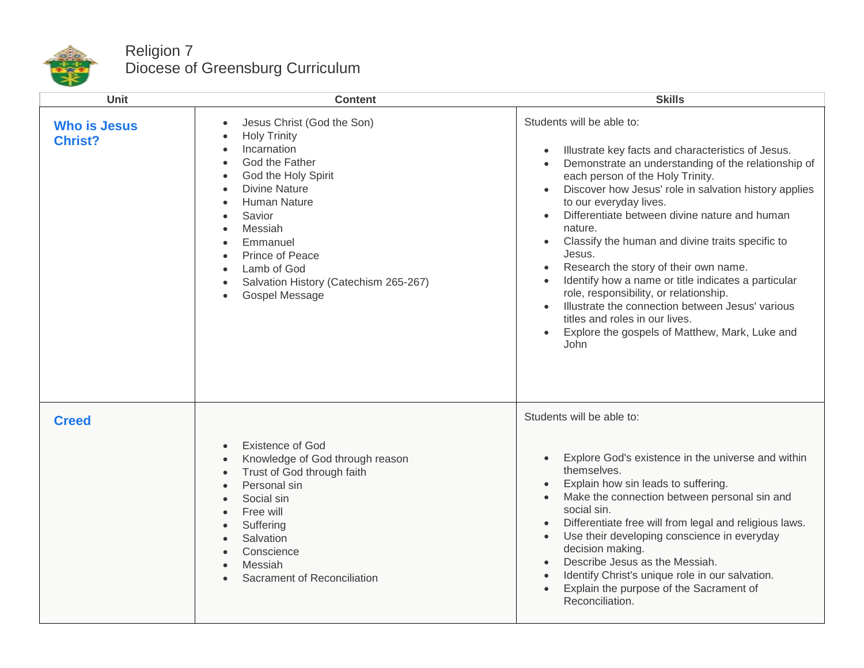

## Religion 7 Diocese of Greensburg Curriculum

| <b>Unit</b>                           | <b>Content</b>                                                                                                                                                                                                                                                                                                                                                                                                                                     | <b>Skills</b>                                                                                                                                                                                                                                                                                                                                                                                                                                                                                                                                                                                                                                                                                                                         |
|---------------------------------------|----------------------------------------------------------------------------------------------------------------------------------------------------------------------------------------------------------------------------------------------------------------------------------------------------------------------------------------------------------------------------------------------------------------------------------------------------|---------------------------------------------------------------------------------------------------------------------------------------------------------------------------------------------------------------------------------------------------------------------------------------------------------------------------------------------------------------------------------------------------------------------------------------------------------------------------------------------------------------------------------------------------------------------------------------------------------------------------------------------------------------------------------------------------------------------------------------|
| <b>Who is Jesus</b><br><b>Christ?</b> | Jesus Christ (God the Son)<br>$\bullet$<br><b>Holy Trinity</b><br>$\bullet$<br>Incarnation<br>$\bullet$<br>God the Father<br>$\bullet$<br>God the Holy Spirit<br>$\bullet$<br><b>Divine Nature</b><br>$\bullet$<br><b>Human Nature</b><br>$\bullet$<br>Savior<br>$\bullet$<br>Messiah<br>$\bullet$<br>Emmanuel<br>$\bullet$<br>Prince of Peace<br>$\bullet$<br>Lamb of God<br>$\bullet$<br>Salvation History (Catechism 265-267)<br>Gospel Message | Students will be able to:<br>Illustrate key facts and characteristics of Jesus.<br>Demonstrate an understanding of the relationship of<br>$\bullet$<br>each person of the Holy Trinity.<br>Discover how Jesus' role in salvation history applies<br>to our everyday lives.<br>Differentiate between divine nature and human<br>$\bullet$<br>nature.<br>Classify the human and divine traits specific to<br>$\bullet$<br>Jesus.<br>Research the story of their own name.<br>$\bullet$<br>Identify how a name or title indicates a particular<br>role, responsibility, or relationship.<br>Illustrate the connection between Jesus' various<br>titles and roles in our lives.<br>Explore the gospels of Matthew, Mark, Luke and<br>John |
| <b>Creed</b>                          | <b>Existence of God</b><br>$\bullet$<br>Knowledge of God through reason<br>$\bullet$<br>Trust of God through faith<br>$\bullet$<br>Personal sin<br>$\bullet$<br>Social sin<br>$\bullet$<br>Free will<br>$\bullet$<br>Suffering<br>$\bullet$<br>Salvation<br>$\bullet$<br>Conscience<br>$\bullet$<br>Messiah<br>$\bullet$<br>Sacrament of Reconciliation                                                                                            | Students will be able to:<br>Explore God's existence in the universe and within<br>$\bullet$<br>themselves.<br>Explain how sin leads to suffering.<br>Make the connection between personal sin and<br>social sin.<br>Differentiate free will from legal and religious laws.<br>Use their developing conscience in everyday<br>$\bullet$<br>decision making.<br>Describe Jesus as the Messiah.<br>$\bullet$<br>Identify Christ's unique role in our salvation.<br>$\bullet$<br>Explain the purpose of the Sacrament of<br>Reconciliation.                                                                                                                                                                                              |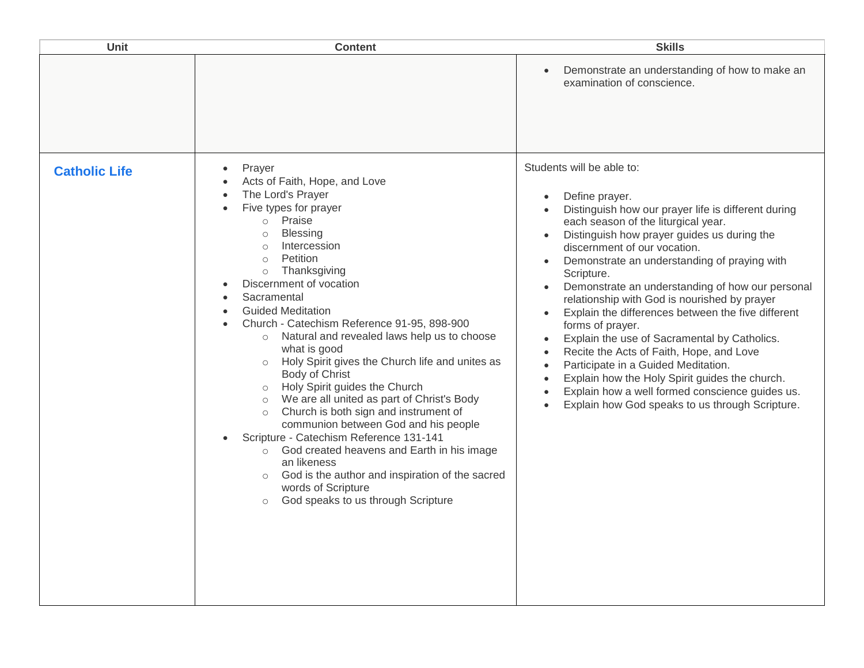| Unit                 | <b>Content</b>                                                                                                                                                                                                                                                                                                                                                                                                                                                                                                                                                                                                                                                                                                                                                                                                                                                                                                                                   | <b>Skills</b>                                                                                                                                                                                                                                                                                                                                                                                                                                                                                                                                                                                                                                                                                                                                                                                                                                                                                                               |
|----------------------|--------------------------------------------------------------------------------------------------------------------------------------------------------------------------------------------------------------------------------------------------------------------------------------------------------------------------------------------------------------------------------------------------------------------------------------------------------------------------------------------------------------------------------------------------------------------------------------------------------------------------------------------------------------------------------------------------------------------------------------------------------------------------------------------------------------------------------------------------------------------------------------------------------------------------------------------------|-----------------------------------------------------------------------------------------------------------------------------------------------------------------------------------------------------------------------------------------------------------------------------------------------------------------------------------------------------------------------------------------------------------------------------------------------------------------------------------------------------------------------------------------------------------------------------------------------------------------------------------------------------------------------------------------------------------------------------------------------------------------------------------------------------------------------------------------------------------------------------------------------------------------------------|
|                      |                                                                                                                                                                                                                                                                                                                                                                                                                                                                                                                                                                                                                                                                                                                                                                                                                                                                                                                                                  | Demonstrate an understanding of how to make an<br>$\bullet$<br>examination of conscience.                                                                                                                                                                                                                                                                                                                                                                                                                                                                                                                                                                                                                                                                                                                                                                                                                                   |
| <b>Catholic Life</b> | Prayer<br>$\bullet$<br>Acts of Faith, Hope, and Love<br>The Lord's Prayer<br>Five types for prayer<br>o Praise<br><b>Blessing</b><br>$\circ$<br>Intercession<br>$\Omega$<br>Petition<br>$\circ$<br>Thanksgiving<br>$\circ$<br>Discernment of vocation<br>Sacramental<br><b>Guided Meditation</b><br>Church - Catechism Reference 91-95, 898-900<br>Natural and revealed laws help us to choose<br>$\circ$<br>what is good<br>o Holy Spirit gives the Church life and unites as<br>Body of Christ<br>o Holy Spirit guides the Church<br>We are all united as part of Christ's Body<br>$\circ$<br>Church is both sign and instrument of<br>$\circ$<br>communion between God and his people<br>Scripture - Catechism Reference 131-141<br>God created heavens and Earth in his image<br>$\circ$<br>an likeness<br>God is the author and inspiration of the sacred<br>$\circ$<br>words of Scripture<br>God speaks to us through Scripture<br>$\circ$ | Students will be able to:<br>Define prayer.<br>$\bullet$<br>Distinguish how our prayer life is different during<br>$\bullet$<br>each season of the liturgical year.<br>Distinguish how prayer guides us during the<br>$\bullet$<br>discernment of our vocation.<br>Demonstrate an understanding of praying with<br>$\bullet$<br>Scripture.<br>Demonstrate an understanding of how our personal<br>$\bullet$<br>relationship with God is nourished by prayer<br>Explain the differences between the five different<br>$\bullet$<br>forms of prayer.<br>Explain the use of Sacramental by Catholics.<br>$\bullet$<br>Recite the Acts of Faith, Hope, and Love<br>$\bullet$<br>Participate in a Guided Meditation.<br>$\bullet$<br>Explain how the Holy Spirit guides the church.<br>$\bullet$<br>Explain how a well formed conscience guides us.<br>$\bullet$<br>Explain how God speaks to us through Scripture.<br>$\bullet$ |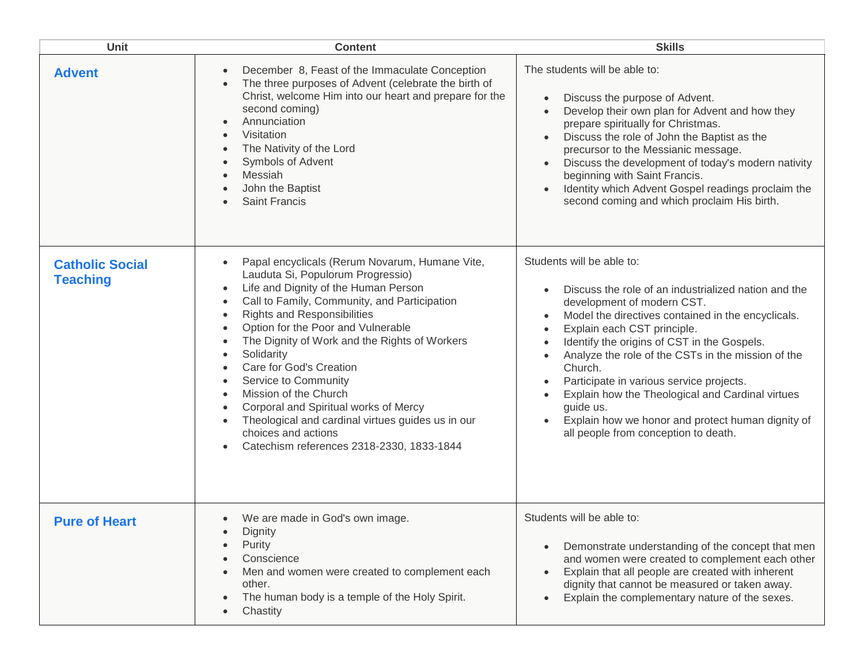| <b>Unit</b>                               | <b>Content</b>                                                                                                                                                                                                                                                                                                                                                                                                                                                                                                                                                       | <b>Skills</b>                                                                                                                                                                                                                                                                                                                                                                                                                                                                                                                                                                                                                          |
|-------------------------------------------|----------------------------------------------------------------------------------------------------------------------------------------------------------------------------------------------------------------------------------------------------------------------------------------------------------------------------------------------------------------------------------------------------------------------------------------------------------------------------------------------------------------------------------------------------------------------|----------------------------------------------------------------------------------------------------------------------------------------------------------------------------------------------------------------------------------------------------------------------------------------------------------------------------------------------------------------------------------------------------------------------------------------------------------------------------------------------------------------------------------------------------------------------------------------------------------------------------------------|
| <b>Advent</b>                             | December 8, Feast of the Immaculate Conception<br>The three purposes of Advent (celebrate the birth of<br>Christ, welcome Him into our heart and prepare for the<br>second coming)<br>Annunciation<br>Visitation<br>The Nativity of the Lord<br>Symbols of Advent<br>Messiah<br>John the Baptist<br><b>Saint Francis</b>                                                                                                                                                                                                                                             | The students will be able to:<br>Discuss the purpose of Advent.<br>$\bullet$<br>Develop their own plan for Advent and how they<br>$\bullet$<br>prepare spiritually for Christmas.<br>Discuss the role of John the Baptist as the<br>$\bullet$<br>precursor to the Messianic message.<br>Discuss the development of today's modern nativity<br>$\bullet$<br>beginning with Saint Francis.<br>Identity which Advent Gospel readings proclaim the<br>$\bullet$<br>second coming and which proclaim His birth.                                                                                                                             |
| <b>Catholic Social</b><br><b>Teaching</b> | Papal encyclicals (Rerum Novarum, Humane Vite,<br>Lauduta Si, Populorum Progressio)<br>Life and Dignity of the Human Person<br>Call to Family, Community, and Participation<br><b>Rights and Responsibilities</b><br>Option for the Poor and Vulnerable<br>The Dignity of Work and the Rights of Workers<br>Solidarity<br>Care for God's Creation<br>Service to Community<br>Mission of the Church<br>Corporal and Spiritual works of Mercy<br>Theological and cardinal virtues guides us in our<br>choices and actions<br>Catechism references 2318-2330, 1833-1844 | Students will be able to:<br>Discuss the role of an industrialized nation and the<br>$\bullet$<br>development of modern CST.<br>Model the directives contained in the encyclicals.<br>$\bullet$<br>Explain each CST principle.<br>$\bullet$<br>Identify the origins of CST in the Gospels.<br>$\bullet$<br>Analyze the role of the CSTs in the mission of the<br>$\bullet$<br>Church.<br>Participate in various service projects.<br>$\bullet$<br>Explain how the Theological and Cardinal virtues<br>$\bullet$<br>guide us.<br>Explain how we honor and protect human dignity of<br>$\bullet$<br>all people from conception to death. |
| <b>Pure of Heart</b>                      | We are made in God's own image.<br>Dignity<br>Purity<br>Conscience<br>Men and women were created to complement each<br>other.<br>The human body is a temple of the Holy Spirit.<br>Chastity                                                                                                                                                                                                                                                                                                                                                                          | Students will be able to:<br>Demonstrate understanding of the concept that men<br>$\bullet$<br>and women were created to complement each other<br>Explain that all people are created with inherent<br>$\bullet$<br>dignity that cannot be measured or taken away.<br>Explain the complementary nature of the sexes.<br>$\bullet$                                                                                                                                                                                                                                                                                                      |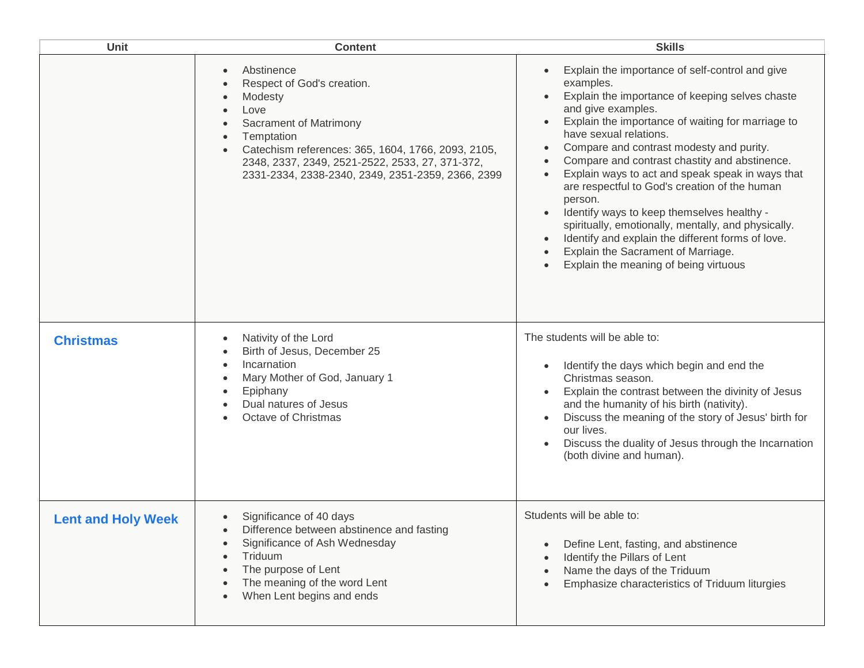| Unit                      | <b>Content</b>                                                                                                                                                                                                                                                                 | <b>Skills</b>                                                                                                                                                                                                                                                                                                                                                                                                                                                                                                                                                                                                                                                                                                                                                                                                |
|---------------------------|--------------------------------------------------------------------------------------------------------------------------------------------------------------------------------------------------------------------------------------------------------------------------------|--------------------------------------------------------------------------------------------------------------------------------------------------------------------------------------------------------------------------------------------------------------------------------------------------------------------------------------------------------------------------------------------------------------------------------------------------------------------------------------------------------------------------------------------------------------------------------------------------------------------------------------------------------------------------------------------------------------------------------------------------------------------------------------------------------------|
|                           | Abstinence<br>$\bullet$<br>Respect of God's creation.<br>Modesty<br>Love<br>Sacrament of Matrimony<br>Temptation<br>Catechism references: 365, 1604, 1766, 2093, 2105,<br>2348, 2337, 2349, 2521-2522, 2533, 27, 371-372,<br>2331-2334, 2338-2340, 2349, 2351-2359, 2366, 2399 | Explain the importance of self-control and give<br>$\bullet$<br>examples.<br>Explain the importance of keeping selves chaste<br>$\bullet$<br>and give examples.<br>Explain the importance of waiting for marriage to<br>$\bullet$<br>have sexual relations.<br>Compare and contrast modesty and purity.<br>$\bullet$<br>Compare and contrast chastity and abstinence.<br>$\bullet$<br>Explain ways to act and speak speak in ways that<br>$\bullet$<br>are respectful to God's creation of the human<br>person.<br>Identify ways to keep themselves healthy -<br>$\bullet$<br>spiritually, emotionally, mentally, and physically.<br>Identify and explain the different forms of love.<br>$\bullet$<br>Explain the Sacrament of Marriage.<br>$\bullet$<br>Explain the meaning of being virtuous<br>$\bullet$ |
| <b>Christmas</b>          | Nativity of the Lord<br>Birth of Jesus, December 25<br>Incarnation<br>Mary Mother of God, January 1<br>Epiphany<br>Dual natures of Jesus<br>Octave of Christmas                                                                                                                | The students will be able to:<br>Identify the days which begin and end the<br>$\bullet$<br>Christmas season.<br>Explain the contrast between the divinity of Jesus<br>and the humanity of his birth (nativity).<br>Discuss the meaning of the story of Jesus' birth for<br>$\bullet$<br>our lives.<br>Discuss the duality of Jesus through the Incarnation<br>$\bullet$<br>(both divine and human).                                                                                                                                                                                                                                                                                                                                                                                                          |
| <b>Lent and Holy Week</b> | Significance of 40 days<br>Difference between abstinence and fasting<br>Significance of Ash Wednesday<br>Triduum<br>The purpose of Lent<br>The meaning of the word Lent<br>When Lent begins and ends                                                                           | Students will be able to:<br>Define Lent, fasting, and abstinence<br>$\bullet$<br>Identify the Pillars of Lent<br>$\bullet$<br>Name the days of the Triduum<br>$\bullet$<br>Emphasize characteristics of Triduum liturgies<br>$\bullet$                                                                                                                                                                                                                                                                                                                                                                                                                                                                                                                                                                      |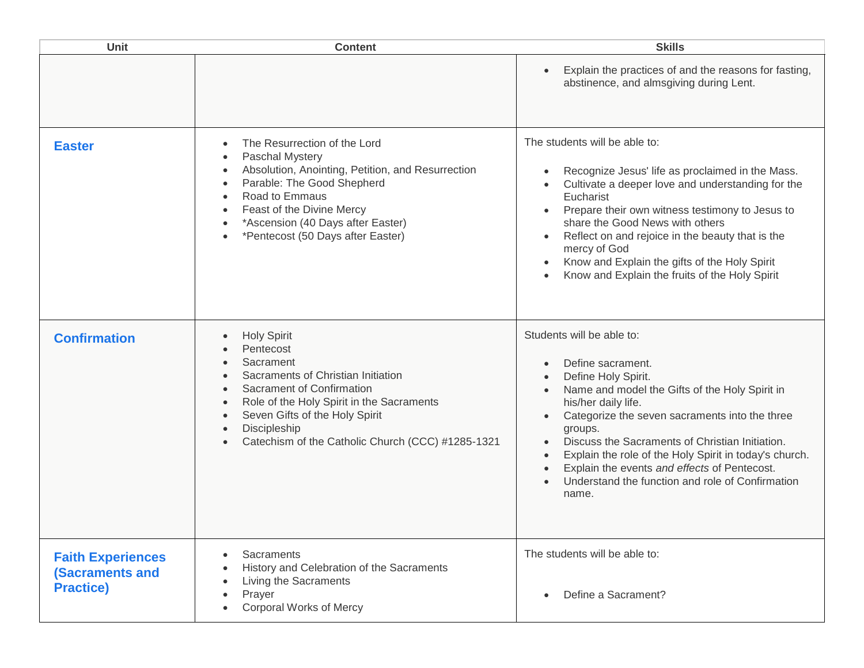| <b>Unit</b>                                                            | <b>Content</b>                                                                                                                                                                                                                                                      | <b>Skills</b>                                                                                                                                                                                                                                                                                                                                                                                                                                                                                                       |
|------------------------------------------------------------------------|---------------------------------------------------------------------------------------------------------------------------------------------------------------------------------------------------------------------------------------------------------------------|---------------------------------------------------------------------------------------------------------------------------------------------------------------------------------------------------------------------------------------------------------------------------------------------------------------------------------------------------------------------------------------------------------------------------------------------------------------------------------------------------------------------|
|                                                                        |                                                                                                                                                                                                                                                                     | Explain the practices of and the reasons for fasting,<br>abstinence, and almsgiving during Lent.                                                                                                                                                                                                                                                                                                                                                                                                                    |
| <b>Easter</b>                                                          | The Resurrection of the Lord<br>Paschal Mystery<br>Absolution, Anointing, Petition, and Resurrection<br>Parable: The Good Shepherd<br>Road to Emmaus<br>Feast of the Divine Mercy<br>*Ascension (40 Days after Easter)<br>*Pentecost (50 Days after Easter)         | The students will be able to:<br>Recognize Jesus' life as proclaimed in the Mass.<br>$\bullet$<br>Cultivate a deeper love and understanding for the<br>Eucharist<br>Prepare their own witness testimony to Jesus to<br>$\bullet$<br>share the Good News with others<br>Reflect on and rejoice in the beauty that is the<br>$\bullet$<br>mercy of God<br>Know and Explain the gifts of the Holy Spirit<br>$\bullet$<br>Know and Explain the fruits of the Holy Spirit<br>$\bullet$                                   |
| <b>Confirmation</b>                                                    | <b>Holy Spirit</b><br>Pentecost<br>Sacrament<br>Sacraments of Christian Initiation<br>Sacrament of Confirmation<br>Role of the Holy Spirit in the Sacraments<br>Seven Gifts of the Holy Spirit<br>Discipleship<br>Catechism of the Catholic Church (CCC) #1285-1321 | Students will be able to:<br>Define sacrament.<br>Define Holy Spirit.<br>$\bullet$<br>Name and model the Gifts of the Holy Spirit in<br>$\bullet$<br>his/her daily life.<br>Categorize the seven sacraments into the three<br>$\bullet$<br>groups.<br>Discuss the Sacraments of Christian Initiation.<br>Explain the role of the Holy Spirit in today's church.<br>$\bullet$<br>Explain the events and effects of Pentecost.<br>$\bullet$<br>Understand the function and role of Confirmation<br>$\bullet$<br>name. |
| <b>Faith Experiences</b><br><b>(Sacraments and</b><br><b>Practice)</b> | Sacraments<br>History and Celebration of the Sacraments<br>Living the Sacraments<br>Prayer<br><b>Corporal Works of Mercy</b>                                                                                                                                        | The students will be able to:<br>Define a Sacrament?<br>$\bullet$                                                                                                                                                                                                                                                                                                                                                                                                                                                   |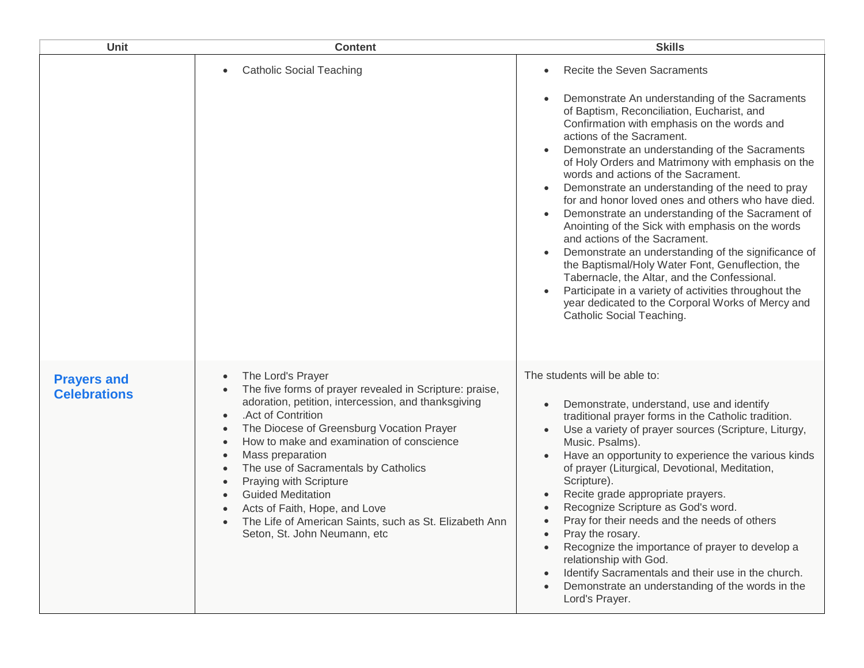| Unit                                      | <b>Content</b>                                                                                                                                                                                                                                                                                                                                                                                                                                                                                   | <b>Skills</b>                                                                                                                                                                                                                                                                                                                                                                                                                                                                                                                                                                                                                                                                                                                                                                                                                                                                                                                                                                                             |
|-------------------------------------------|--------------------------------------------------------------------------------------------------------------------------------------------------------------------------------------------------------------------------------------------------------------------------------------------------------------------------------------------------------------------------------------------------------------------------------------------------------------------------------------------------|-----------------------------------------------------------------------------------------------------------------------------------------------------------------------------------------------------------------------------------------------------------------------------------------------------------------------------------------------------------------------------------------------------------------------------------------------------------------------------------------------------------------------------------------------------------------------------------------------------------------------------------------------------------------------------------------------------------------------------------------------------------------------------------------------------------------------------------------------------------------------------------------------------------------------------------------------------------------------------------------------------------|
|                                           | <b>Catholic Social Teaching</b>                                                                                                                                                                                                                                                                                                                                                                                                                                                                  | Recite the Seven Sacraments<br>$\bullet$<br>Demonstrate An understanding of the Sacraments<br>$\bullet$<br>of Baptism, Reconciliation, Eucharist, and<br>Confirmation with emphasis on the words and<br>actions of the Sacrament.<br>Demonstrate an understanding of the Sacraments<br>$\bullet$<br>of Holy Orders and Matrimony with emphasis on the<br>words and actions of the Sacrament.<br>Demonstrate an understanding of the need to pray<br>$\bullet$<br>for and honor loved ones and others who have died.<br>Demonstrate an understanding of the Sacrament of<br>$\bullet$<br>Anointing of the Sick with emphasis on the words<br>and actions of the Sacrament.<br>Demonstrate an understanding of the significance of<br>$\bullet$<br>the Baptismal/Holy Water Font, Genuflection, the<br>Tabernacle, the Altar, and the Confessional.<br>Participate in a variety of activities throughout the<br>$\bullet$<br>year dedicated to the Corporal Works of Mercy and<br>Catholic Social Teaching. |
| <b>Prayers and</b><br><b>Celebrations</b> | The Lord's Prayer<br>The five forms of prayer revealed in Scripture: praise,<br>adoration, petition, intercession, and thanksgiving<br>.Act of Contrition<br>The Diocese of Greensburg Vocation Prayer<br>How to make and examination of conscience<br>Mass preparation<br>The use of Sacramentals by Catholics<br>Praying with Scripture<br><b>Guided Meditation</b><br>Acts of Faith, Hope, and Love<br>The Life of American Saints, such as St. Elizabeth Ann<br>Seton, St. John Neumann, etc | The students will be able to:<br>Demonstrate, understand, use and identify<br>$\bullet$<br>traditional prayer forms in the Catholic tradition.<br>Use a variety of prayer sources (Scripture, Liturgy,<br>$\bullet$<br>Music. Psalms).<br>Have an opportunity to experience the various kinds<br>$\bullet$<br>of prayer (Liturgical, Devotional, Meditation,<br>Scripture).<br>Recite grade appropriate prayers.<br>Recognize Scripture as God's word.<br>Pray for their needs and the needs of others<br>Pray the rosary.<br>Recognize the importance of prayer to develop a<br>relationship with God.<br>Identify Sacramentals and their use in the church.<br>$\bullet$<br>Demonstrate an understanding of the words in the<br>Lord's Prayer.                                                                                                                                                                                                                                                          |